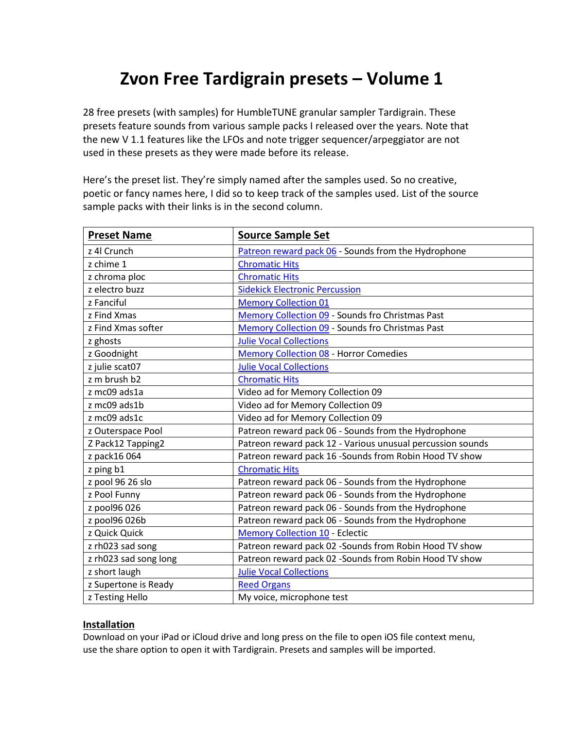# **Zvon Free Tardigrain presets – Volume 1**

28 free presets (with samples) for HumbleTUNE granular sampler Tardigrain. These presets feature sounds from various sample packs I released over the years. Note that the new V 1.1 features like the LFOs and note trigger sequencer/arpeggiator are not used in these presets as they were made before its release.

Here's the preset list. They're simply named after the samples used. So no creative, poetic or fancy names here, I did so to keep track of the samples used. List of the source sample packs with their links is in the second column.

| <b>Preset Name</b>    | <b>Source Sample Set</b>                                   |
|-----------------------|------------------------------------------------------------|
| z 41 Crunch           | Patreon reward pack 06 - Sounds from the Hydrophone        |
| z chime 1             | <b>Chromatic Hits</b>                                      |
| z chroma ploc         | <b>Chromatic Hits</b>                                      |
| z electro buzz        | <b>Sidekick Electronic Percussion</b>                      |
| z Fanciful            | <b>Memory Collection 01</b>                                |
| z Find Xmas           | Memory Collection 09 - Sounds fro Christmas Past           |
| z Find Xmas softer    | Memory Collection 09 - Sounds fro Christmas Past           |
| z ghosts              | <b>Julie Vocal Collections</b>                             |
| z Goodnight           | <b>Memory Collection 08 - Horror Comedies</b>              |
| z julie scat07        | <b>Julie Vocal Collections</b>                             |
| z m brush b2          | <b>Chromatic Hits</b>                                      |
| z mc09 ads1a          | Video ad for Memory Collection 09                          |
| z mc09 ads1b          | Video ad for Memory Collection 09                          |
| z mc09 ads1c          | Video ad for Memory Collection 09                          |
| z Outerspace Pool     | Patreon reward pack 06 - Sounds from the Hydrophone        |
| Z Pack12 Tapping2     | Patreon reward pack 12 - Various unusual percussion sounds |
| z pack16 064          | Patreon reward pack 16 -Sounds from Robin Hood TV show     |
| z ping b1             | <b>Chromatic Hits</b>                                      |
| z pool 96 26 slo      | Patreon reward pack 06 - Sounds from the Hydrophone        |
| z Pool Funny          | Patreon reward pack 06 - Sounds from the Hydrophone        |
| z pool96 026          | Patreon reward pack 06 - Sounds from the Hydrophone        |
| z pool96 026b         | Patreon reward pack 06 - Sounds from the Hydrophone        |
| z Quick Quick         | <b>Memory Collection 10 - Eclectic</b>                     |
| z rh023 sad song      | Patreon reward pack 02 -Sounds from Robin Hood TV show     |
| z rh023 sad song long | Patreon reward pack 02 -Sounds from Robin Hood TV show     |
| z short laugh         | <b>Julie Vocal Collections</b>                             |
| z Supertone is Ready  | <b>Reed Organs</b>                                         |
| z Testing Hello       | My voice, microphone test                                  |

## **Installation**

Download on your iPad or iCloud drive and long press on the file to open iOS file context menu, use the share option to open it with Tardigrain. Presets and samples will be imported.